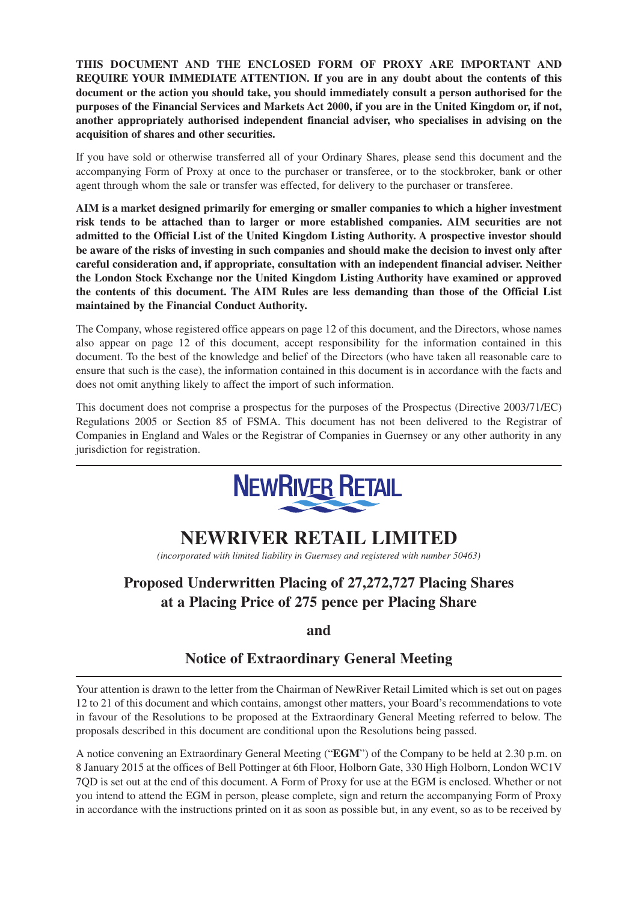**THIS DOCUMENT AND THE ENCLOSED FORM OF PROXY ARE IMPORTANT AND REQUIRE YOUR IMMEDIATE ATTENTION. If you are in any doubt about the contents of this document or the action you should take, you should immediately consult a person authorised for the** purposes of the Financial Services and Markets Act 2000, if you are in the United Kingdom or, if not, **another appropriately authorised independent financial adviser, who specialises in advising on the acquisition of shares and other securities.**

If you have sold or otherwise transferred all of your Ordinary Shares, please send this document and the accompanying Form of Proxy at once to the purchaser or transferee, or to the stockbroker, bank or other agent through whom the sale or transfer was effected, for delivery to the purchaser or transferee.

**AIM is a market designed primarily for emerging or smaller companies to which a higher investment risk tends to be attached than to larger or more established companies. AIM securities are not admitted to the Official List of the United Kingdom Listing Authority. A prospective investor should** be aware of the risks of investing in such companies and should make the decision to invest only after **careful consideration and, if appropriate, consultation with an independent financial adviser. Neither the London Stock Exchange nor the United Kingdom Listing Authority have examined or approved the contents of this document. The AIM Rules are less demanding than those of the Official List maintained by the Financial Conduct Authority.**

The Company, whose registered office appears on page 12 of this document, and the Directors, whose names also appear on page 12 of this document, accept responsibility for the information contained in this document. To the best of the knowledge and belief of the Directors (who have taken all reasonable care to ensure that such is the case), the information contained in this document is in accordance with the facts and does not omit anything likely to affect the import of such information.

This document does not comprise a prospectus for the purposes of the Prospectus (Directive 2003/71/EC) Regulations 2005 or Section 85 of FSMA. This document has not been delivered to the Registrar of Companies in England and Wales or the Registrar of Companies in Guernsey or any other authority in any jurisdiction for registration.



# **NEWRIVER RETAIL LIMITED**

*(incorporated with limited liability in Guernsey and registered with number 50463)*

# **Proposed Underwritten Placing of 27,272,727 Placing Shares at a Placing Price of 275 pence per Placing Share**

**and**

## **Notice of Extraordinary General Meeting**

Your attention is drawn to the letter from the Chairman of NewRiver Retail Limited which is set out on pages 12 to 21 of this document and which contains, amongst other matters, your Board's recommendations to vote in favour of the Resolutions to be proposed at the Extraordinary General Meeting referred to below. The proposals described in this document are conditional upon the Resolutions being passed.

A notice convening an Extraordinary General Meeting ("**EGM**") of the Company to be held at 2.30 p.m. on 8 January 2015 at the offices of Bell Pottinger at 6th Floor, Holborn Gate, 330 High Holborn, London WC1V 7QD is set out at the end of this document. A Form of Proxy for use at the EGM is enclosed. Whether or not you intend to attend the EGM in person, please complete, sign and return the accompanying Form of Proxy in accordance with the instructions printed on it as soon as possible but, in any event, so as to be received by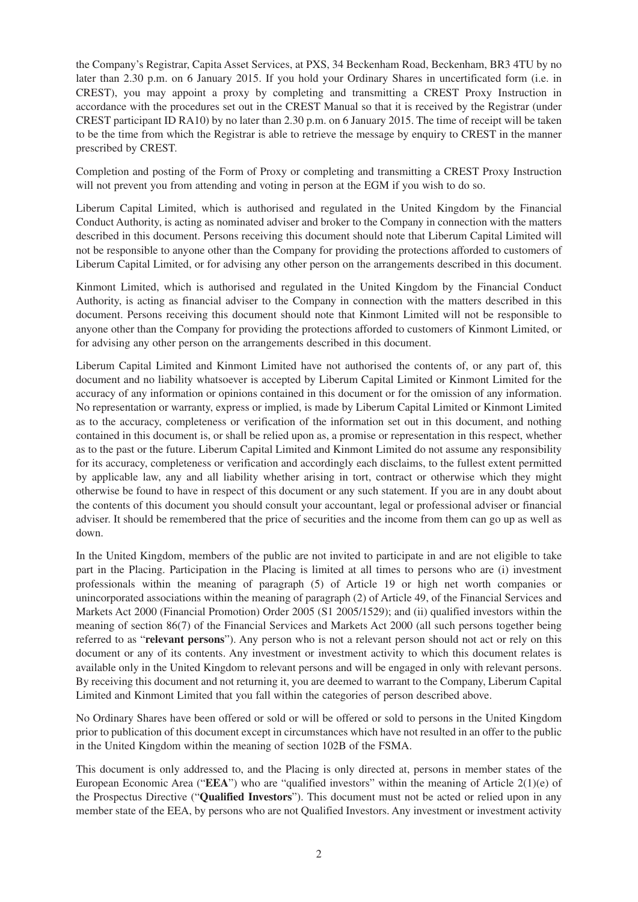the Company's Registrar, Capita Asset Services, at PXS, 34 Beckenham Road, Beckenham, BR3 4TU by no later than 2.30 p.m. on 6 January 2015. If you hold your Ordinary Shares in uncertificated form (i.e. in CREST), you may appoint a proxy by completing and transmitting a CREST Proxy Instruction in accordance with the procedures set out in the CREST Manual so that it is received by the Registrar (under CREST participant ID RA10) by no later than 2.30 p.m. on 6 January 2015. The time of receipt will be taken to be the time from which the Registrar is able to retrieve the message by enquiry to CREST in the manner prescribed by CREST.

Completion and posting of the Form of Proxy or completing and transmitting a CREST Proxy Instruction will not prevent you from attending and voting in person at the EGM if you wish to do so.

Liberum Capital Limited, which is authorised and regulated in the United Kingdom by the Financial Conduct Authority, is acting as nominated adviser and broker to the Company in connection with the matters described in this document. Persons receiving this document should note that Liberum Capital Limited will not be responsible to anyone other than the Company for providing the protections afforded to customers of Liberum Capital Limited, or for advising any other person on the arrangements described in this document.

Kinmont Limited, which is authorised and regulated in the United Kingdom by the Financial Conduct Authority, is acting as financial adviser to the Company in connection with the matters described in this document. Persons receiving this document should note that Kinmont Limited will not be responsible to anyone other than the Company for providing the protections afforded to customers of Kinmont Limited, or for advising any other person on the arrangements described in this document.

Liberum Capital Limited and Kinmont Limited have not authorised the contents of, or any part of, this document and no liability whatsoever is accepted by Liberum Capital Limited or Kinmont Limited for the accuracy of any information or opinions contained in this document or for the omission of any information. No representation or warranty, express or implied, is made by Liberum Capital Limited or Kinmont Limited as to the accuracy, completeness or verification of the information set out in this document, and nothing contained in this document is, or shall be relied upon as, a promise or representation in this respect, whether as to the past or the future. Liberum Capital Limited and Kinmont Limited do not assume any responsibility for its accuracy, completeness or verification and accordingly each disclaims, to the fullest extent permitted by applicable law, any and all liability whether arising in tort, contract or otherwise which they might otherwise be found to have in respect of this document or any such statement. If you are in any doubt about the contents of this document you should consult your accountant, legal or professional adviser or financial adviser. It should be remembered that the price of securities and the income from them can go up as well as down.

In the United Kingdom, members of the public are not invited to participate in and are not eligible to take part in the Placing. Participation in the Placing is limited at all times to persons who are (i) investment professionals within the meaning of paragraph (5) of Article 19 or high net worth companies or unincorporated associations within the meaning of paragraph (2) of Article 49, of the Financial Services and Markets Act 2000 (Financial Promotion) Order 2005 (S1 2005/1529); and (ii) qualified investors within the meaning of section 86(7) of the Financial Services and Markets Act 2000 (all such persons together being referred to as "**relevant persons**"). Any person who is not a relevant person should not act or rely on this document or any of its contents. Any investment or investment activity to which this document relates is available only in the United Kingdom to relevant persons and will be engaged in only with relevant persons. By receiving this document and not returning it, you are deemed to warrant to the Company, Liberum Capital Limited and Kinmont Limited that you fall within the categories of person described above.

No Ordinary Shares have been offered or sold or will be offered or sold to persons in the United Kingdom prior to publication of this document except in circumstances which have not resulted in an offer to the public in the United Kingdom within the meaning of section 102B of the FSMA.

This document is only addressed to, and the Placing is only directed at, persons in member states of the European Economic Area ("**EEA**") who are "qualified investors" within the meaning of Article 2(1)(e) of the Prospectus Directive ("**Qualified Investors**"). This document must not be acted or relied upon in any member state of the EEA, by persons who are not Qualified Investors. Any investment or investment activity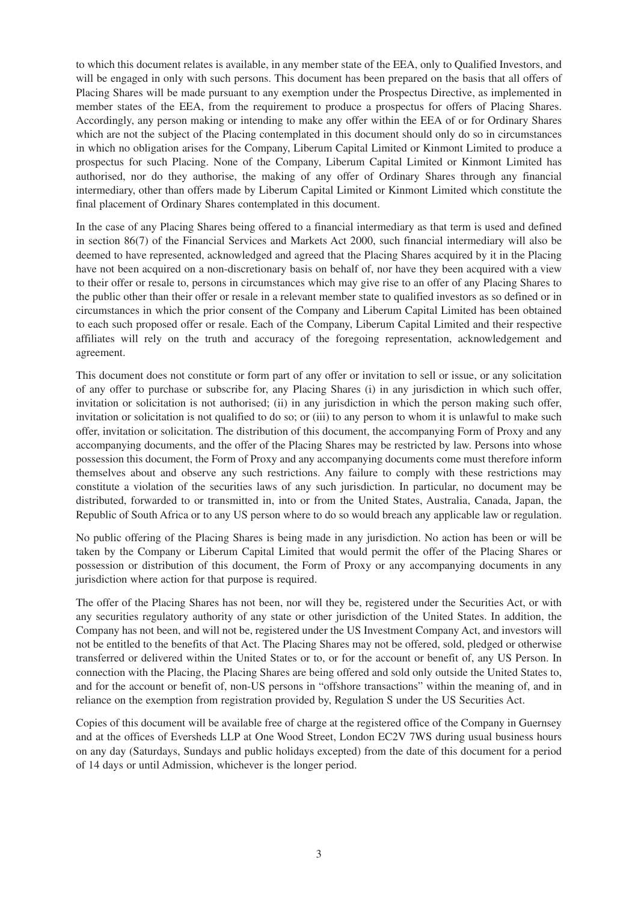to which this document relates is available, in any member state of the EEA, only to Qualified Investors, and will be engaged in only with such persons. This document has been prepared on the basis that all offers of Placing Shares will be made pursuant to any exemption under the Prospectus Directive, as implemented in member states of the EEA, from the requirement to produce a prospectus for offers of Placing Shares. Accordingly, any person making or intending to make any offer within the EEA of or for Ordinary Shares which are not the subject of the Placing contemplated in this document should only do so in circumstances in which no obligation arises for the Company, Liberum Capital Limited or Kinmont Limited to produce a prospectus for such Placing. None of the Company, Liberum Capital Limited or Kinmont Limited has authorised, nor do they authorise, the making of any offer of Ordinary Shares through any financial intermediary, other than offers made by Liberum Capital Limited or Kinmont Limited which constitute the final placement of Ordinary Shares contemplated in this document.

In the case of any Placing Shares being offered to a financial intermediary as that term is used and defined in section 86(7) of the Financial Services and Markets Act 2000, such financial intermediary will also be deemed to have represented, acknowledged and agreed that the Placing Shares acquired by it in the Placing have not been acquired on a non-discretionary basis on behalf of, nor have they been acquired with a view to their offer or resale to, persons in circumstances which may give rise to an offer of any Placing Shares to the public other than their offer or resale in a relevant member state to qualified investors as so defined or in circumstances in which the prior consent of the Company and Liberum Capital Limited has been obtained to each such proposed offer or resale. Each of the Company, Liberum Capital Limited and their respective affiliates will rely on the truth and accuracy of the foregoing representation, acknowledgement and agreement.

This document does not constitute or form part of any offer or invitation to sell or issue, or any solicitation of any offer to purchase or subscribe for, any Placing Shares (i) in any jurisdiction in which such offer, invitation or solicitation is not authorised; (ii) in any jurisdiction in which the person making such offer, invitation or solicitation is not qualified to do so; or (iii) to any person to whom it is unlawful to make such offer, invitation or solicitation. The distribution of this document, the accompanying Form of Proxy and any accompanying documents, and the offer of the Placing Shares may be restricted by law. Persons into whose possession this document, the Form of Proxy and any accompanying documents come must therefore inform themselves about and observe any such restrictions. Any failure to comply with these restrictions may constitute a violation of the securities laws of any such jurisdiction. In particular, no document may be distributed, forwarded to or transmitted in, into or from the United States, Australia, Canada, Japan, the Republic of South Africa or to any US person where to do so would breach any applicable law or regulation.

No public offering of the Placing Shares is being made in any jurisdiction. No action has been or will be taken by the Company or Liberum Capital Limited that would permit the offer of the Placing Shares or possession or distribution of this document, the Form of Proxy or any accompanying documents in any jurisdiction where action for that purpose is required.

The offer of the Placing Shares has not been, nor will they be, registered under the Securities Act, or with any securities regulatory authority of any state or other jurisdiction of the United States. In addition, the Company has not been, and will not be, registered under the US Investment Company Act, and investors will not be entitled to the benefits of that Act. The Placing Shares may not be offered, sold, pledged or otherwise transferred or delivered within the United States or to, or for the account or benefit of, any US Person. In connection with the Placing, the Placing Shares are being offered and sold only outside the United States to, and for the account or benefit of, non-US persons in "offshore transactions" within the meaning of, and in reliance on the exemption from registration provided by, Regulation S under the US Securities Act.

Copies of this document will be available free of charge at the registered office of the Company in Guernsey and at the offices of Eversheds LLP at One Wood Street, London EC2V 7WS during usual business hours on any day (Saturdays, Sundays and public holidays excepted) from the date of this document for a period of 14 days or until Admission, whichever is the longer period.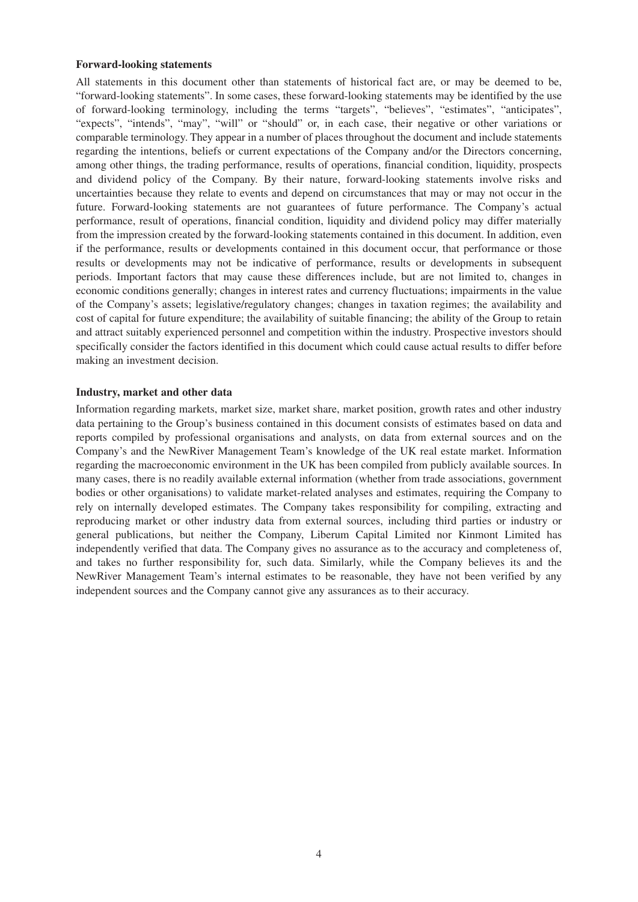#### **Forward-looking statements**

All statements in this document other than statements of historical fact are, or may be deemed to be, "forward-looking statements". In some cases, these forward-looking statements may be identified by the use of forward-looking terminology, including the terms "targets", "believes", "estimates", "anticipates", "expects", "intends", "may", "will" or "should" or, in each case, their negative or other variations or comparable terminology. They appear in a number of places throughout the document and include statements regarding the intentions, beliefs or current expectations of the Company and/or the Directors concerning, among other things, the trading performance, results of operations, financial condition, liquidity, prospects and dividend policy of the Company. By their nature, forward-looking statements involve risks and uncertainties because they relate to events and depend on circumstances that may or may not occur in the future. Forward-looking statements are not guarantees of future performance. The Company's actual performance, result of operations, financial condition, liquidity and dividend policy may differ materially from the impression created by the forward-looking statements contained in this document. In addition, even if the performance, results or developments contained in this document occur, that performance or those results or developments may not be indicative of performance, results or developments in subsequent periods. Important factors that may cause these differences include, but are not limited to, changes in economic conditions generally; changes in interest rates and currency fluctuations; impairments in the value of the Company's assets; legislative/regulatory changes; changes in taxation regimes; the availability and cost of capital for future expenditure; the availability of suitable financing; the ability of the Group to retain and attract suitably experienced personnel and competition within the industry. Prospective investors should specifically consider the factors identified in this document which could cause actual results to differ before making an investment decision.

#### **Industry, market and other data**

Information regarding markets, market size, market share, market position, growth rates and other industry data pertaining to the Group's business contained in this document consists of estimates based on data and reports compiled by professional organisations and analysts, on data from external sources and on the Company's and the NewRiver Management Team's knowledge of the UK real estate market. Information regarding the macroeconomic environment in the UK has been compiled from publicly available sources. In many cases, there is no readily available external information (whether from trade associations, government bodies or other organisations) to validate market-related analyses and estimates, requiring the Company to rely on internally developed estimates. The Company takes responsibility for compiling, extracting and reproducing market or other industry data from external sources, including third parties or industry or general publications, but neither the Company, Liberum Capital Limited nor Kinmont Limited has independently verified that data. The Company gives no assurance as to the accuracy and completeness of, and takes no further responsibility for, such data. Similarly, while the Company believes its and the NewRiver Management Team's internal estimates to be reasonable, they have not been verified by any independent sources and the Company cannot give any assurances as to their accuracy.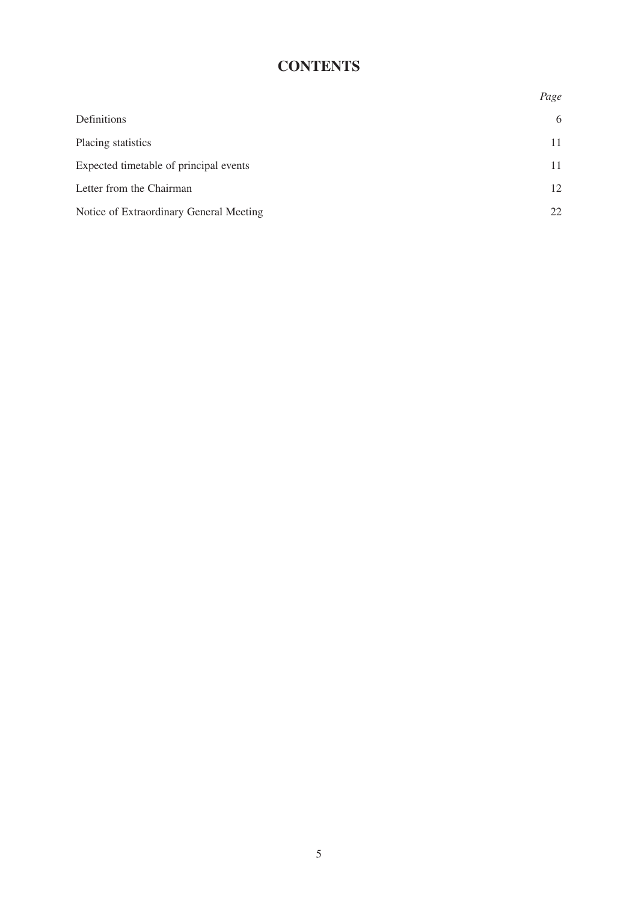# **CONTENTS**

|                                         | Page |
|-----------------------------------------|------|
| Definitions                             | 6    |
| Placing statistics                      | 11   |
| Expected timetable of principal events  | 11   |
| Letter from the Chairman                | 12   |
| Notice of Extraordinary General Meeting | 22   |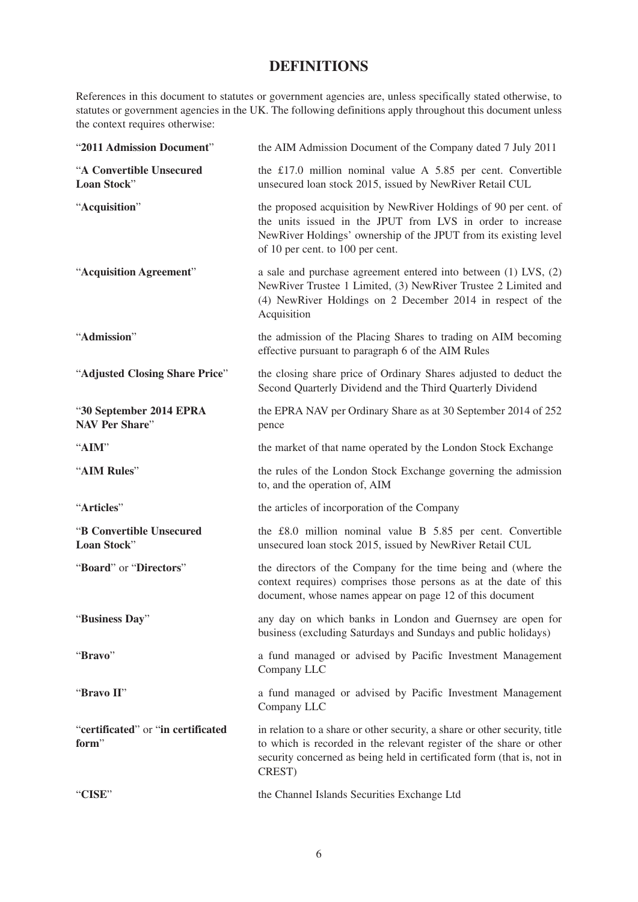## **DEFINITIONS**

References in this document to statutes or government agencies are, unless specifically stated otherwise, to statutes or government agencies in the UK. The following definitions apply throughout this document unless the context requires otherwise:

| "2011 Admission Document"                        | the AIM Admission Document of the Company dated 7 July 2011                                                                                                                                                                            |
|--------------------------------------------------|----------------------------------------------------------------------------------------------------------------------------------------------------------------------------------------------------------------------------------------|
| "A Convertible Unsecured<br>Loan Stock"          | the £17.0 million nominal value A 5.85 per cent. Convertible<br>unsecured loan stock 2015, issued by NewRiver Retail CUL                                                                                                               |
| "Acquisition"                                    | the proposed acquisition by NewRiver Holdings of 90 per cent. of<br>the units issued in the JPUT from LVS in order to increase<br>NewRiver Holdings' ownership of the JPUT from its existing level<br>of 10 per cent. to 100 per cent. |
| "Acquisition Agreement"                          | a sale and purchase agreement entered into between $(1)$ LVS, $(2)$<br>NewRiver Trustee 1 Limited, (3) NewRiver Trustee 2 Limited and<br>(4) NewRiver Holdings on 2 December 2014 in respect of the<br>Acquisition                     |
| "Admission"                                      | the admission of the Placing Shares to trading on AIM becoming<br>effective pursuant to paragraph 6 of the AIM Rules                                                                                                                   |
| "Adjusted Closing Share Price"                   | the closing share price of Ordinary Shares adjusted to deduct the<br>Second Quarterly Dividend and the Third Quarterly Dividend                                                                                                        |
| "30 September 2014 EPRA<br><b>NAV Per Share"</b> | the EPRA NAV per Ordinary Share as at 30 September 2014 of 252<br>pence                                                                                                                                                                |
| "AIM"                                            | the market of that name operated by the London Stock Exchange                                                                                                                                                                          |
| "AIM Rules"                                      | the rules of the London Stock Exchange governing the admission<br>to, and the operation of, AIM                                                                                                                                        |
| "Articles"                                       | the articles of incorporation of the Company                                                                                                                                                                                           |
| "B Convertible Unsecured<br>Loan Stock"          | the £8.0 million nominal value B 5.85 per cent. Convertible<br>unsecured loan stock 2015, issued by NewRiver Retail CUL                                                                                                                |
| "Board" or "Directors"                           | the directors of the Company for the time being and (where the<br>context requires) comprises those persons as at the date of this<br>document, whose names appear on page 12 of this document                                         |
| "Business Day"                                   | any day on which banks in London and Guernsey are open for<br>business (excluding Saturdays and Sundays and public holidays)                                                                                                           |
| "Bravo"                                          | a fund managed or advised by Pacific Investment Management<br>Company LLC                                                                                                                                                              |
| "Bravo II"                                       | a fund managed or advised by Pacific Investment Management<br>Company LLC                                                                                                                                                              |
| "certificated" or "in certificated<br>form"      | in relation to a share or other security, a share or other security, title<br>to which is recorded in the relevant register of the share or other<br>security concerned as being held in certificated form (that is, not in<br>CREST)  |
| "CISE"                                           | the Channel Islands Securities Exchange Ltd                                                                                                                                                                                            |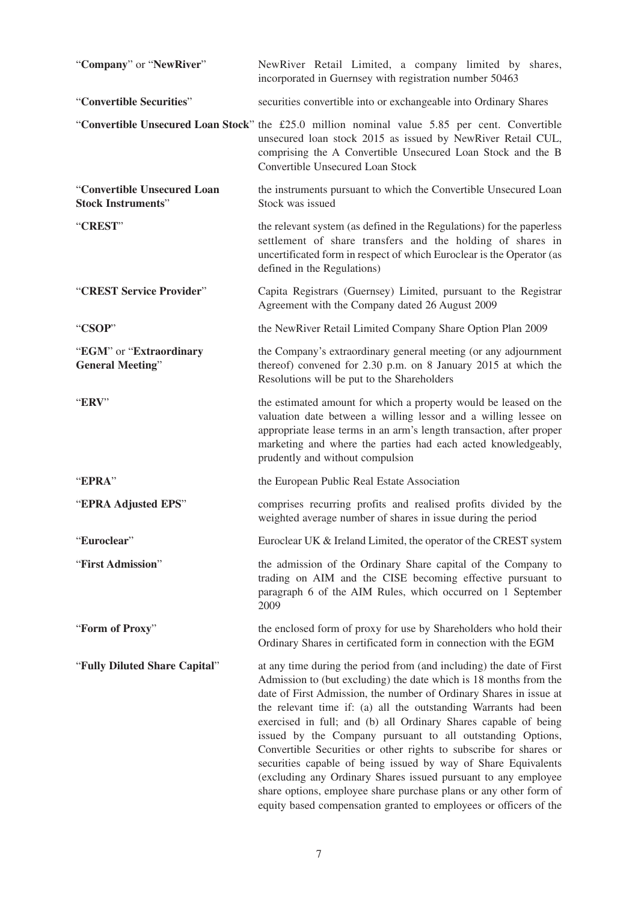| "Company" or "NewRiver"                                  | NewRiver Retail Limited, a company limited by shares,<br>incorporated in Guernsey with registration number 50463                                                                                                                                                                                                                                                                                                                                                                                                                                                                                                                                                                                                                                                       |
|----------------------------------------------------------|------------------------------------------------------------------------------------------------------------------------------------------------------------------------------------------------------------------------------------------------------------------------------------------------------------------------------------------------------------------------------------------------------------------------------------------------------------------------------------------------------------------------------------------------------------------------------------------------------------------------------------------------------------------------------------------------------------------------------------------------------------------------|
| "Convertible Securities"                                 | securities convertible into or exchangeable into Ordinary Shares                                                                                                                                                                                                                                                                                                                                                                                                                                                                                                                                                                                                                                                                                                       |
|                                                          | "Convertible Unsecured Loan Stock" the £25.0 million nominal value 5.85 per cent. Convertible<br>unsecured loan stock 2015 as issued by NewRiver Retail CUL,<br>comprising the A Convertible Unsecured Loan Stock and the B<br><b>Convertible Unsecured Loan Stock</b>                                                                                                                                                                                                                                                                                                                                                                                                                                                                                                 |
| "Convertible Unsecured Loan<br><b>Stock Instruments"</b> | the instruments pursuant to which the Convertible Unsecured Loan<br>Stock was issued                                                                                                                                                                                                                                                                                                                                                                                                                                                                                                                                                                                                                                                                                   |
| "CREST"                                                  | the relevant system (as defined in the Regulations) for the paperless<br>settlement of share transfers and the holding of shares in<br>uncertificated form in respect of which Euroclear is the Operator (as<br>defined in the Regulations)                                                                                                                                                                                                                                                                                                                                                                                                                                                                                                                            |
| "CREST Service Provider"                                 | Capita Registrars (Guernsey) Limited, pursuant to the Registrar<br>Agreement with the Company dated 26 August 2009                                                                                                                                                                                                                                                                                                                                                                                                                                                                                                                                                                                                                                                     |
| "CSOP"                                                   | the NewRiver Retail Limited Company Share Option Plan 2009                                                                                                                                                                                                                                                                                                                                                                                                                                                                                                                                                                                                                                                                                                             |
| "EGM" or "Extraordinary<br><b>General Meeting"</b>       | the Company's extraordinary general meeting (or any adjournment<br>thereof) convened for 2.30 p.m. on 8 January 2015 at which the<br>Resolutions will be put to the Shareholders                                                                                                                                                                                                                                                                                                                                                                                                                                                                                                                                                                                       |
| "ERV"                                                    | the estimated amount for which a property would be leased on the<br>valuation date between a willing lessor and a willing lessee on<br>appropriate lease terms in an arm's length transaction, after proper<br>marketing and where the parties had each acted knowledgeably,<br>prudently and without compulsion                                                                                                                                                                                                                                                                                                                                                                                                                                                       |
| "EPRA"                                                   | the European Public Real Estate Association                                                                                                                                                                                                                                                                                                                                                                                                                                                                                                                                                                                                                                                                                                                            |
| "EPRA Adjusted EPS"                                      | comprises recurring profits and realised profits divided by the<br>weighted average number of shares in issue during the period                                                                                                                                                                                                                                                                                                                                                                                                                                                                                                                                                                                                                                        |
| 'Euroclear''                                             | Euroclear UK & Ireland Limited, the operator of the CREST system                                                                                                                                                                                                                                                                                                                                                                                                                                                                                                                                                                                                                                                                                                       |
| "First Admission"                                        | the admission of the Ordinary Share capital of the Company to<br>trading on AIM and the CISE becoming effective pursuant to<br>paragraph 6 of the AIM Rules, which occurred on 1 September<br>2009                                                                                                                                                                                                                                                                                                                                                                                                                                                                                                                                                                     |
| "Form of Proxy"                                          | the enclosed form of proxy for use by Shareholders who hold their<br>Ordinary Shares in certificated form in connection with the EGM                                                                                                                                                                                                                                                                                                                                                                                                                                                                                                                                                                                                                                   |
| "Fully Diluted Share Capital"                            | at any time during the period from (and including) the date of First<br>Admission to (but excluding) the date which is 18 months from the<br>date of First Admission, the number of Ordinary Shares in issue at<br>the relevant time if: (a) all the outstanding Warrants had been<br>exercised in full; and (b) all Ordinary Shares capable of being<br>issued by the Company pursuant to all outstanding Options,<br>Convertible Securities or other rights to subscribe for shares or<br>securities capable of being issued by way of Share Equivalents<br>(excluding any Ordinary Shares issued pursuant to any employee<br>share options, employee share purchase plans or any other form of<br>equity based compensation granted to employees or officers of the |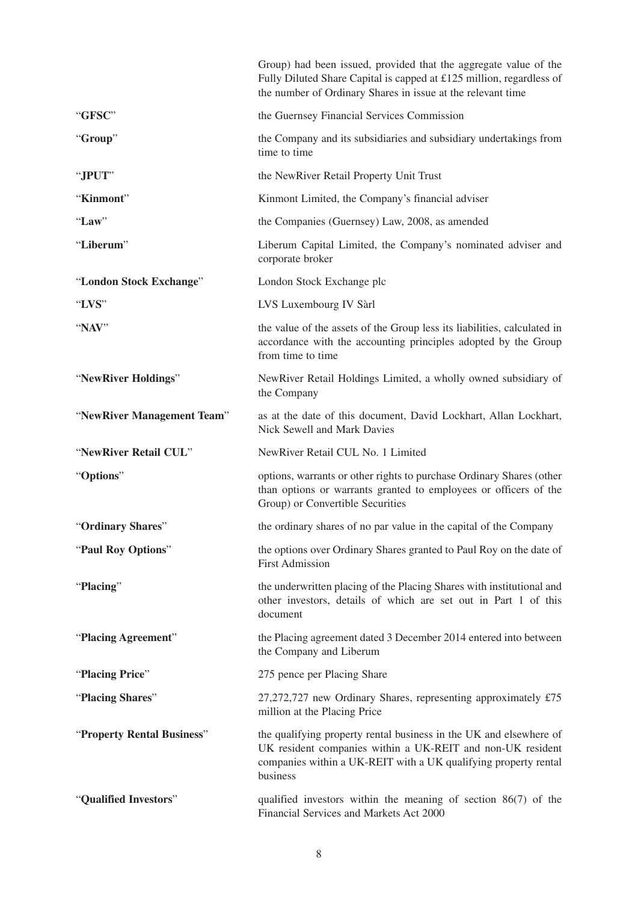|                            | Group) had been issued, provided that the aggregate value of the<br>Fully Diluted Share Capital is capped at £125 million, regardless of<br>the number of Ordinary Shares in issue at the relevant time         |
|----------------------------|-----------------------------------------------------------------------------------------------------------------------------------------------------------------------------------------------------------------|
| "GFSC"                     | the Guernsey Financial Services Commission                                                                                                                                                                      |
| "Group"                    | the Company and its subsidiaries and subsidiary undertakings from<br>time to time                                                                                                                               |
| "JPUT"                     | the NewRiver Retail Property Unit Trust                                                                                                                                                                         |
| "Kinmont"                  | Kinmont Limited, the Company's financial adviser                                                                                                                                                                |
| "Law"                      | the Companies (Guernsey) Law, 2008, as amended                                                                                                                                                                  |
| "Liberum"                  | Liberum Capital Limited, the Company's nominated adviser and<br>corporate broker                                                                                                                                |
| "London Stock Exchange"    | London Stock Exchange plc                                                                                                                                                                                       |
| "LVS"                      | LVS Luxembourg IV Sàrl                                                                                                                                                                                          |
| "NAV"                      | the value of the assets of the Group less its liabilities, calculated in<br>accordance with the accounting principles adopted by the Group<br>from time to time                                                 |
| "NewRiver Holdings"        | NewRiver Retail Holdings Limited, a wholly owned subsidiary of<br>the Company                                                                                                                                   |
| "NewRiver Management Team" | as at the date of this document, David Lockhart, Allan Lockhart,<br>Nick Sewell and Mark Davies                                                                                                                 |
| "NewRiver Retail CUL"      | NewRiver Retail CUL No. 1 Limited                                                                                                                                                                               |
| "Options"                  | options, warrants or other rights to purchase Ordinary Shares (other<br>than options or warrants granted to employees or officers of the<br>Group) or Convertible Securities                                    |
| "Ordinary Shares"          | the ordinary shares of no par value in the capital of the Company                                                                                                                                               |
| "Paul Roy Options"         | the options over Ordinary Shares granted to Paul Roy on the date of<br><b>First Admission</b>                                                                                                                   |
| "Placing"                  | the underwritten placing of the Placing Shares with institutional and<br>other investors, details of which are set out in Part 1 of this<br>document                                                            |
| "Placing Agreement"        | the Placing agreement dated 3 December 2014 entered into between<br>the Company and Liberum                                                                                                                     |
| "Placing Price"            | 275 pence per Placing Share                                                                                                                                                                                     |
| "Placing Shares"           | 27,272,727 new Ordinary Shares, representing approximately £75<br>million at the Placing Price                                                                                                                  |
| "Property Rental Business" | the qualifying property rental business in the UK and elsewhere of<br>UK resident companies within a UK-REIT and non-UK resident<br>companies within a UK-REIT with a UK qualifying property rental<br>business |
| "Qualified Investors"      | qualified investors within the meaning of section $86(7)$ of the<br>Financial Services and Markets Act 2000                                                                                                     |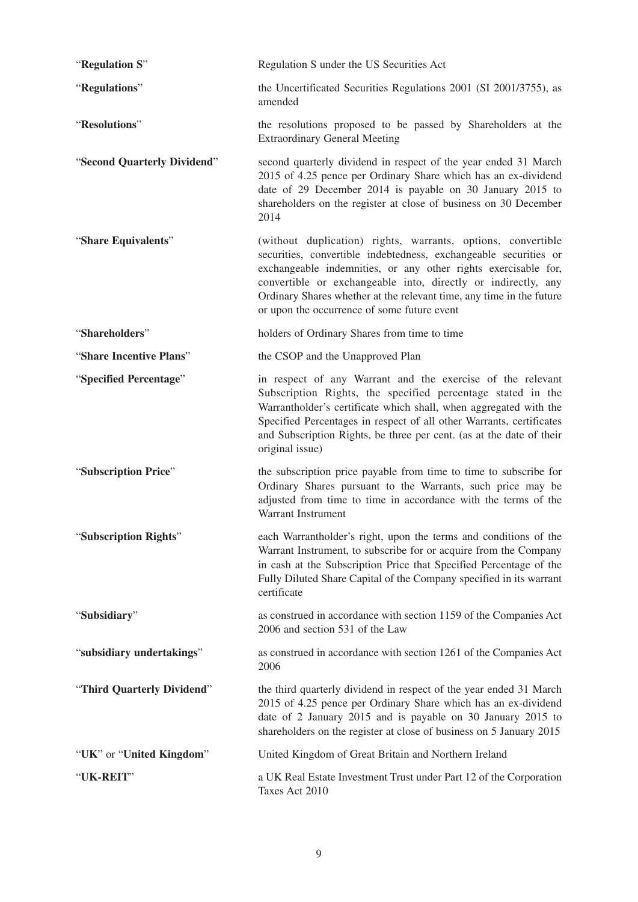| "Regulation S"              | Regulation S under the US Securities Act                                                                                                                                                                                                                                                                                                                                                   |
|-----------------------------|--------------------------------------------------------------------------------------------------------------------------------------------------------------------------------------------------------------------------------------------------------------------------------------------------------------------------------------------------------------------------------------------|
| "Regulations"               | the Uncertificated Securities Regulations 2001 (SI 2001/3755), as<br>amended                                                                                                                                                                                                                                                                                                               |
| "Resolutions"               | the resolutions proposed to be passed by Shareholders at the<br><b>Extraordinary General Meeting</b>                                                                                                                                                                                                                                                                                       |
| "Second Quarterly Dividend" | second quarterly dividend in respect of the year ended 31 March<br>2015 of 4.25 pence per Ordinary Share which has an ex-dividend<br>date of 29 December 2014 is payable on 30 January 2015 to<br>shareholders on the register at close of business on 30 December<br>2014                                                                                                                 |
| "Share Equivalents"         | (without duplication) rights, warrants, options, convertible<br>securities, convertible indebtedness, exchangeable securities or<br>exchangeable indemnities, or any other rights exercisable for,<br>convertible or exchangeable into, directly or indirectly, any<br>Ordinary Shares whether at the relevant time, any time in the future<br>or upon the occurrence of some future event |
| "Shareholders"              | holders of Ordinary Shares from time to time                                                                                                                                                                                                                                                                                                                                               |
| "Share Incentive Plans"     | the CSOP and the Unapproved Plan                                                                                                                                                                                                                                                                                                                                                           |
| "Specified Percentage"      | in respect of any Warrant and the exercise of the relevant<br>Subscription Rights, the specified percentage stated in the<br>Warrantholder's certificate which shall, when aggregated with the<br>Specified Percentages in respect of all other Warrants, certificates<br>and Subscription Rights, be three per cent. (as at the date of their<br>original issue)                          |
| "Subscription Price"        | the subscription price payable from time to time to subscribe for<br>Ordinary Shares pursuant to the Warrants, such price may be<br>adjusted from time to time in accordance with the terms of the<br>Warrant Instrument                                                                                                                                                                   |
| "Subscription Rights"       | each Warrantholder's right, upon the terms and conditions of the<br>Warrant Instrument, to subscribe for or acquire from the Company<br>in cash at the Subscription Price that Specified Percentage of the<br>Fully Diluted Share Capital of the Company specified in its warrant<br>certificate                                                                                           |
| "Subsidiary"                | as construed in accordance with section 1159 of the Companies Act<br>2006 and section 531 of the Law                                                                                                                                                                                                                                                                                       |
| "subsidiary undertakings"   | as construed in accordance with section 1261 of the Companies Act<br>2006                                                                                                                                                                                                                                                                                                                  |
| "Third Quarterly Dividend"  | the third quarterly dividend in respect of the year ended 31 March<br>2015 of 4.25 pence per Ordinary Share which has an ex-dividend<br>date of 2 January 2015 and is payable on 30 January 2015 to<br>shareholders on the register at close of business on 5 January 2015                                                                                                                 |
| "UK" or "United Kingdom"    | United Kingdom of Great Britain and Northern Ireland                                                                                                                                                                                                                                                                                                                                       |
| "UK-REIT"                   | a UK Real Estate Investment Trust under Part 12 of the Corporation<br>Taxes Act 2010                                                                                                                                                                                                                                                                                                       |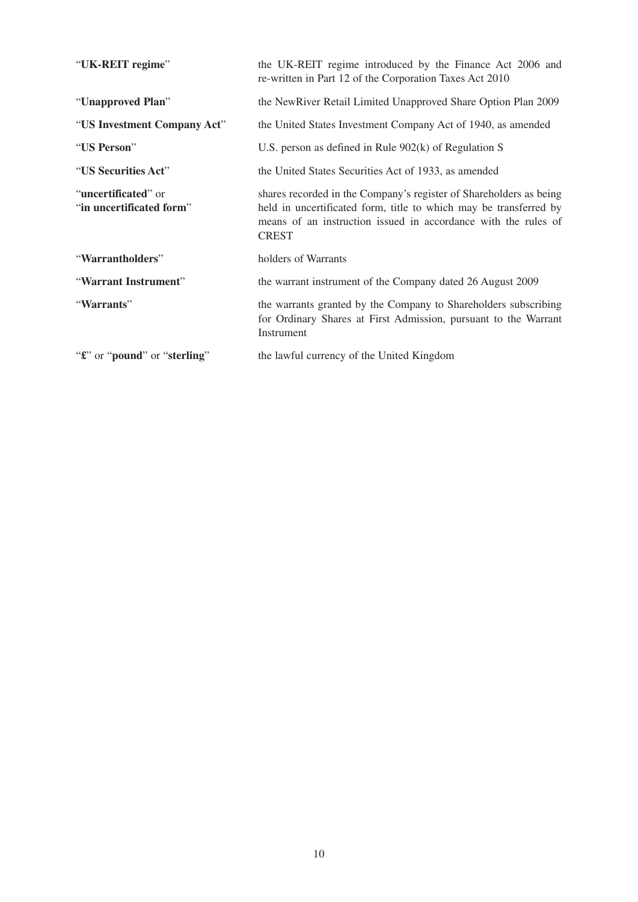| "UK-REIT regime"                                         | the UK-REIT regime introduced by the Finance Act 2006 and<br>re-written in Part 12 of the Corporation Taxes Act 2010                                                                                                      |
|----------------------------------------------------------|---------------------------------------------------------------------------------------------------------------------------------------------------------------------------------------------------------------------------|
| "Unapproved Plan"                                        | the NewRiver Retail Limited Unapproved Share Option Plan 2009                                                                                                                                                             |
| "US Investment Company Act"                              | the United States Investment Company Act of 1940, as amended                                                                                                                                                              |
| "US Person"                                              | U.S. person as defined in Rule $902(k)$ of Regulation S                                                                                                                                                                   |
| "US Securities Act"                                      | the United States Securities Act of 1933, as amended                                                                                                                                                                      |
| " <b>uncertificated</b> " or<br>"in uncertificated form" | shares recorded in the Company's register of Shareholders as being<br>held in uncertificated form, title to which may be transferred by<br>means of an instruction issued in accordance with the rules of<br><b>CREST</b> |
| "Warrantholders"                                         | holders of Warrants                                                                                                                                                                                                       |
| "Warrant Instrument"                                     | the warrant instrument of the Company dated 26 August 2009                                                                                                                                                                |
| "Warrants"                                               | the warrants granted by the Company to Shareholders subscribing<br>for Ordinary Shares at First Admission, pursuant to the Warrant<br>Instrument                                                                          |
| " <i>f"</i> or "pound" or "sterling"                     | the lawful currency of the United Kingdom                                                                                                                                                                                 |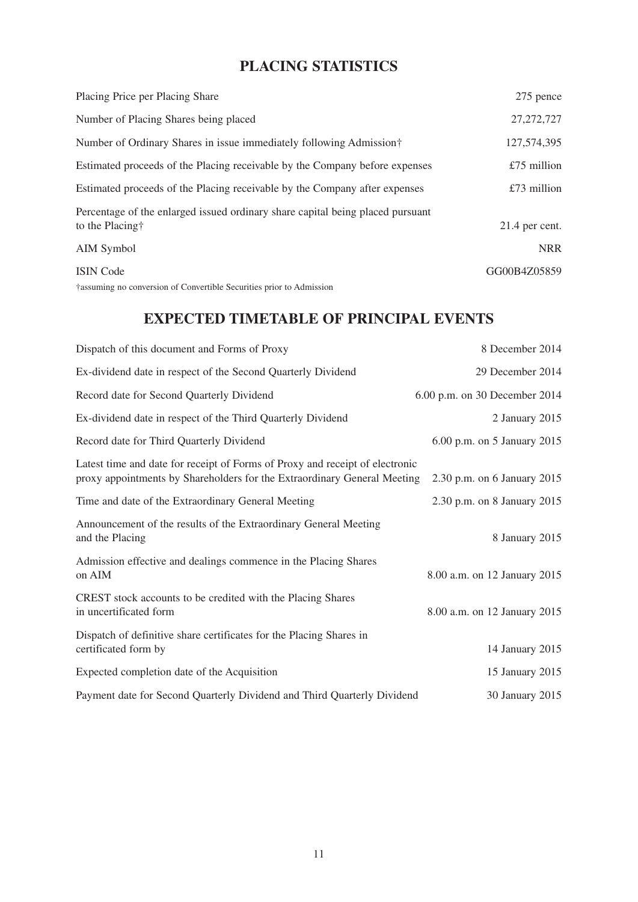## **PLACING STATISTICS**

| Placing Price per Placing Share                                                                   | 275 pence        |
|---------------------------------------------------------------------------------------------------|------------------|
| Number of Placing Shares being placed                                                             | 27, 272, 727     |
| Number of Ordinary Shares in issue immediately following Admission                                | 127,574,395      |
| Estimated proceeds of the Placing receivable by the Company before expenses                       | £75 million      |
| Estimated proceeds of the Placing receivable by the Company after expenses                        | $£73$ million    |
| Percentage of the enlarged issued ordinary share capital being placed pursuant<br>to the Placing† | $21.4$ per cent. |
| AIM Symbol                                                                                        | <b>NRR</b>       |
| <b>ISIN</b> Code                                                                                  | GG00B4Z05859     |

†assuming no conversion of Convertible Securities prior to Admission

# **EXPECTED TIMETABLE OF PRINCIPAL EVENTS**

| Dispatch of this document and Forms of Proxy                                                                                                             | 8 December 2014               |
|----------------------------------------------------------------------------------------------------------------------------------------------------------|-------------------------------|
| Ex-dividend date in respect of the Second Quarterly Dividend                                                                                             | 29 December 2014              |
| Record date for Second Quarterly Dividend                                                                                                                | 6.00 p.m. on 30 December 2014 |
| Ex-dividend date in respect of the Third Quarterly Dividend                                                                                              | 2 January 2015                |
| Record date for Third Quarterly Dividend                                                                                                                 | 6.00 p.m. on 5 January 2015   |
| Latest time and date for receipt of Forms of Proxy and receipt of electronic<br>proxy appointments by Shareholders for the Extraordinary General Meeting | 2.30 p.m. on 6 January 2015   |
| Time and date of the Extraordinary General Meeting                                                                                                       | 2.30 p.m. on 8 January 2015   |
| Announcement of the results of the Extraordinary General Meeting<br>and the Placing                                                                      | 8 January 2015                |
| Admission effective and dealings commence in the Placing Shares<br>on AIM                                                                                | 8.00 a.m. on 12 January 2015  |
| CREST stock accounts to be credited with the Placing Shares<br>in uncertificated form                                                                    | 8.00 a.m. on 12 January 2015  |
| Dispatch of definitive share certificates for the Placing Shares in<br>certificated form by                                                              | 14 January 2015               |
| Expected completion date of the Acquisition                                                                                                              | 15 January 2015               |
| Payment date for Second Quarterly Dividend and Third Quarterly Dividend                                                                                  | 30 January 2015               |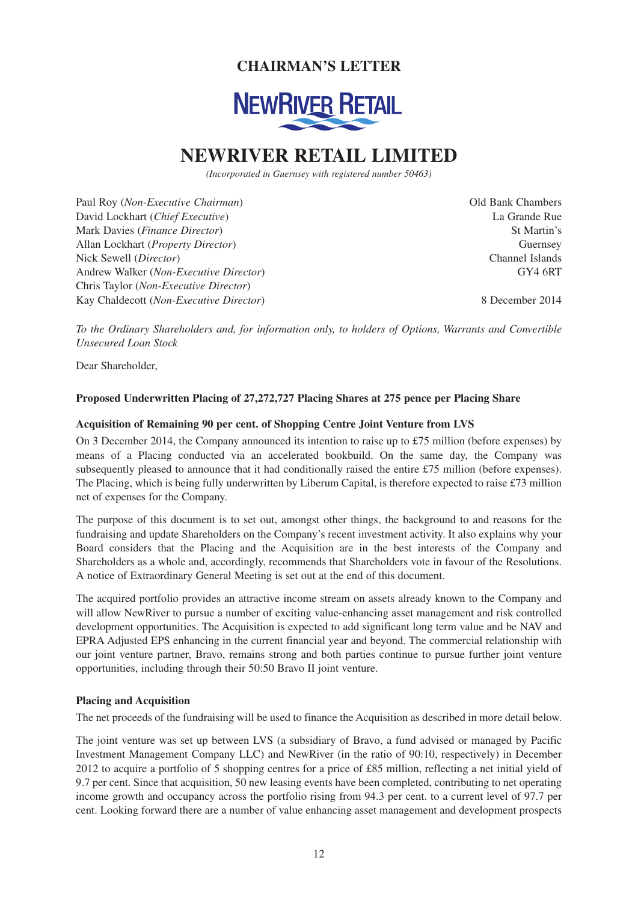## **CHAIRMAN'S LETTER**



# **NEWRIVER RETAIL LIMITED**

*(Incorporated in Guernsey with registered number 50463)*

Paul Roy (*Non-Executive Chairman*) Old Bank Chambers David Lockhart (*Chief Executive*) La Grande Rue Mark Davies (*Finance Director*) St Martin's Allan Lockhart (*Property Director*) Guernsey Nick Sewell (*Director*) Channel Islands Andrew Walker (*Non-Executive Director*) GY4 6RT Chris Taylor (*Non-Executive Director*) Kay Chaldecott (*Non-Executive Director*) 8 December 2014

*To the Ordinary Shareholders and, for information only, to holders of Options, Warrants and Convertible Unsecured Loan Stock*

Dear Shareholder,

#### **Proposed Underwritten Placing of 27,272,727 Placing Shares at 275 pence per Placing Share**

#### **Acquisition of Remaining 90 per cent. of Shopping Centre Joint Venture from LVS**

On 3 December 2014, the Company announced its intention to raise up to £75 million (before expenses) by means of a Placing conducted via an accelerated bookbuild. On the same day, the Company was subsequently pleased to announce that it had conditionally raised the entire £75 million (before expenses). The Placing, which is being fully underwritten by Liberum Capital, is therefore expected to raise £73 million net of expenses for the Company.

The purpose of this document is to set out, amongst other things, the background to and reasons for the fundraising and update Shareholders on the Company's recent investment activity. It also explains why your Board considers that the Placing and the Acquisition are in the best interests of the Company and Shareholders as a whole and, accordingly, recommends that Shareholders vote in favour of the Resolutions. A notice of Extraordinary General Meeting is set out at the end of this document.

The acquired portfolio provides an attractive income stream on assets already known to the Company and will allow NewRiver to pursue a number of exciting value-enhancing asset management and risk controlled development opportunities. The Acquisition is expected to add significant long term value and be NAV and EPRA Adjusted EPS enhancing in the current financial year and beyond. The commercial relationship with our joint venture partner, Bravo, remains strong and both parties continue to pursue further joint venture opportunities, including through their 50:50 Bravo II joint venture.

#### **Placing and Acquisition**

The net proceeds of the fundraising will be used to finance the Acquisition as described in more detail below.

The joint venture was set up between LVS (a subsidiary of Bravo, a fund advised or managed by Pacific Investment Management Company LLC) and NewRiver (in the ratio of 90:10, respectively) in December 2012 to acquire a portfolio of 5 shopping centres for a price of £85 million, reflecting a net initial yield of 9.7 per cent. Since that acquisition, 50 new leasing events have been completed, contributing to net operating income growth and occupancy across the portfolio rising from 94.3 per cent. to a current level of 97.7 per cent. Looking forward there are a number of value enhancing asset management and development prospects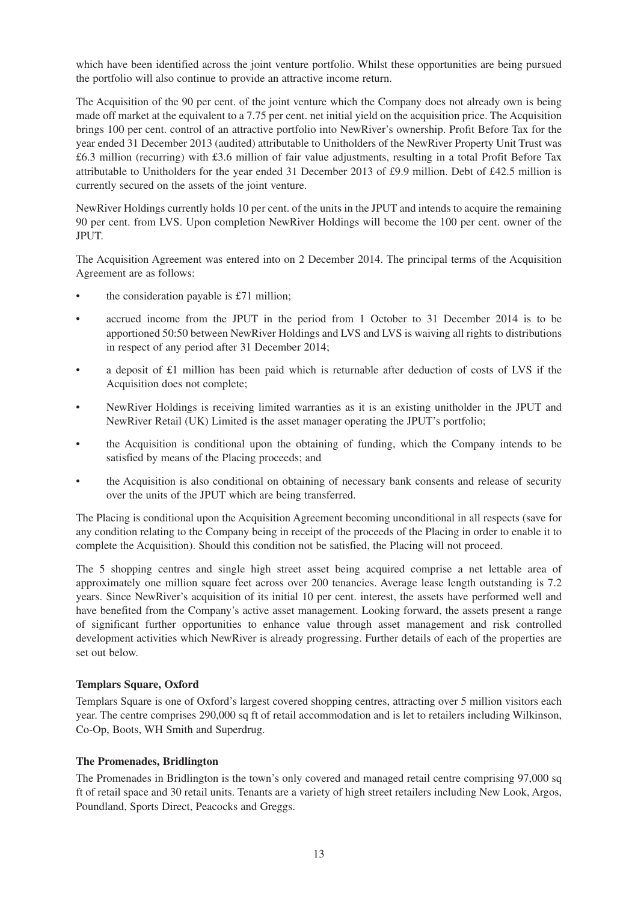which have been identified across the joint venture portfolio. Whilst these opportunities are being pursued the portfolio will also continue to provide an attractive income return.

The Acquisition of the 90 per cent. of the joint venture which the Company does not already own is being made off market at the equivalent to a 7.75 per cent. net initial yield on the acquisition price. The Acquisition brings 100 per cent. control of an attractive portfolio into NewRiver's ownership. Profit Before Tax for the year ended 31 December 2013 (audited) attributable to Unitholders of the NewRiver Property Unit Trust was £6.3 million (recurring) with £3.6 million of fair value adjustments, resulting in a total Profit Before Tax attributable to Unitholders for the year ended 31 December 2013 of £9.9 million. Debt of £42.5 million is currently secured on the assets of the joint venture.

NewRiver Holdings currently holds 10 per cent. of the units in the JPUT and intends to acquire the remaining 90 per cent. from LVS. Upon completion NewRiver Holdings will become the 100 per cent. owner of the JPUT.

The Acquisition Agreement was entered into on 2 December 2014. The principal terms of the Acquisition Agreement are as follows:

- the consideration payable is £71 million;
- accrued income from the JPUT in the period from 1 October to 31 December 2014 is to be apportioned 50:50 between NewRiver Holdings and LVS and LVS is waiving all rights to distributions in respect of any period after 31 December 2014;
- a deposit of £1 million has been paid which is returnable after deduction of costs of LVS if the Acquisition does not complete;
- NewRiver Holdings is receiving limited warranties as it is an existing unitholder in the JPUT and NewRiver Retail (UK) Limited is the asset manager operating the JPUT's portfolio;
- the Acquisition is conditional upon the obtaining of funding, which the Company intends to be satisfied by means of the Placing proceeds; and
- the Acquisition is also conditional on obtaining of necessary bank consents and release of security over the units of the JPUT which are being transferred.

The Placing is conditional upon the Acquisition Agreement becoming unconditional in all respects (save for any condition relating to the Company being in receipt of the proceeds of the Placing in order to enable it to complete the Acquisition). Should this condition not be satisfied, the Placing will not proceed.

The 5 shopping centres and single high street asset being acquired comprise a net lettable area of approximately one million square feet across over 200 tenancies. Average lease length outstanding is 7.2 years. Since NewRiver's acquisition of its initial 10 per cent. interest, the assets have performed well and have benefited from the Company's active asset management. Looking forward, the assets present a range of significant further opportunities to enhance value through asset management and risk controlled development activities which NewRiver is already progressing. Further details of each of the properties are set out below.

### **Templars Square, Oxford**

Templars Square is one of Oxford's largest covered shopping centres, attracting over 5 million visitors each year. The centre comprises 290,000 sq ft of retail accommodation and is let to retailers including Wilkinson, Co-Op, Boots, WH Smith and Superdrug.

#### **The Promenades, Bridlington**

The Promenades in Bridlington is the town's only covered and managed retail centre comprising 97,000 sq ft of retail space and 30 retail units. Tenants are a variety of high street retailers including New Look, Argos, Poundland, Sports Direct, Peacocks and Greggs.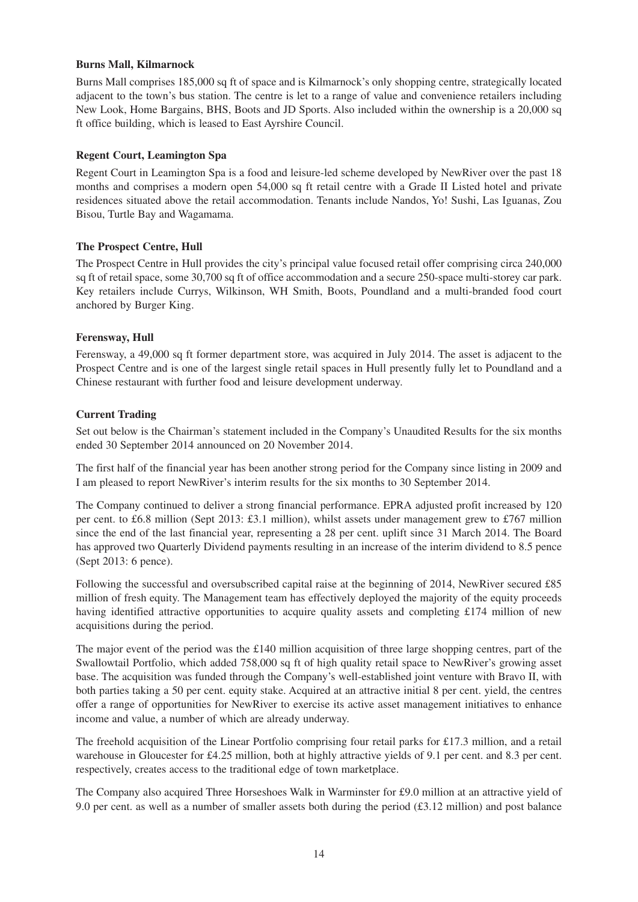#### **Burns Mall, Kilmarnock**

Burns Mall comprises 185,000 sq ft of space and is Kilmarnock's only shopping centre, strategically located adjacent to the town's bus station. The centre is let to a range of value and convenience retailers including New Look, Home Bargains, BHS, Boots and JD Sports. Also included within the ownership is a 20,000 sq ft office building, which is leased to East Ayrshire Council.

#### **Regent Court, Leamington Spa**

Regent Court in Leamington Spa is a food and leisure-led scheme developed by NewRiver over the past 18 months and comprises a modern open 54,000 sq ft retail centre with a Grade II Listed hotel and private residences situated above the retail accommodation. Tenants include Nandos, Yo! Sushi, Las Iguanas, Zou Bisou, Turtle Bay and Wagamama.

#### **The Prospect Centre, Hull**

The Prospect Centre in Hull provides the city's principal value focused retail offer comprising circa 240,000 sq ft of retail space, some 30,700 sq ft of office accommodation and a secure 250-space multi-storey car park. Key retailers include Currys, Wilkinson, WH Smith, Boots, Poundland and a multi-branded food court anchored by Burger King.

#### **Ferensway, Hull**

Ferensway, a 49,000 sq ft former department store, was acquired in July 2014. The asset is adjacent to the Prospect Centre and is one of the largest single retail spaces in Hull presently fully let to Poundland and a Chinese restaurant with further food and leisure development underway.

#### **Current Trading**

Set out below is the Chairman's statement included in the Company's Unaudited Results for the six months ended 30 September 2014 announced on 20 November 2014.

The first half of the financial year has been another strong period for the Company since listing in 2009 and I am pleased to report NewRiver's interim results for the six months to 30 September 2014.

The Company continued to deliver a strong financial performance. EPRA adjusted profit increased by 120 per cent. to £6.8 million (Sept 2013: £3.1 million), whilst assets under management grew to £767 million since the end of the last financial year, representing a 28 per cent. uplift since 31 March 2014. The Board has approved two Quarterly Dividend payments resulting in an increase of the interim dividend to 8.5 pence (Sept 2013: 6 pence).

Following the successful and oversubscribed capital raise at the beginning of 2014, NewRiver secured £85 million of fresh equity. The Management team has effectively deployed the majority of the equity proceeds having identified attractive opportunities to acquire quality assets and completing £174 million of new acquisitions during the period.

The major event of the period was the £140 million acquisition of three large shopping centres, part of the Swallowtail Portfolio, which added 758,000 sq ft of high quality retail space to NewRiver's growing asset base. The acquisition was funded through the Company's well-established joint venture with Bravo II, with both parties taking a 50 per cent. equity stake. Acquired at an attractive initial 8 per cent. yield, the centres offer a range of opportunities for NewRiver to exercise its active asset management initiatives to enhance income and value, a number of which are already underway.

The freehold acquisition of the Linear Portfolio comprising four retail parks for £17.3 million, and a retail warehouse in Gloucester for £4.25 million, both at highly attractive yields of 9.1 per cent. and 8.3 per cent. respectively, creates access to the traditional edge of town marketplace.

The Company also acquired Three Horseshoes Walk in Warminster for £9.0 million at an attractive yield of 9.0 per cent. as well as a number of smaller assets both during the period  $(\text{\pounds}3.12 \text{ million})$  and post balance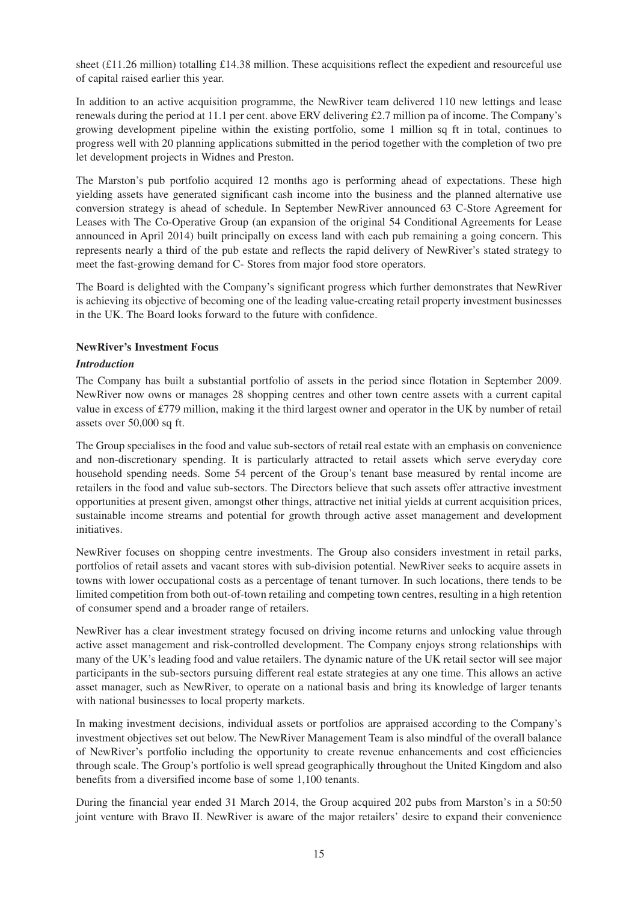sheet (£11.26 million) totalling £14.38 million. These acquisitions reflect the expedient and resourceful use of capital raised earlier this year.

In addition to an active acquisition programme, the NewRiver team delivered 110 new lettings and lease renewals during the period at 11.1 per cent. above ERV delivering £2.7 million pa of income. The Company's growing development pipeline within the existing portfolio, some 1 million sq ft in total, continues to progress well with 20 planning applications submitted in the period together with the completion of two pre let development projects in Widnes and Preston.

The Marston's pub portfolio acquired 12 months ago is performing ahead of expectations. These high yielding assets have generated significant cash income into the business and the planned alternative use conversion strategy is ahead of schedule. In September NewRiver announced 63 C-Store Agreement for Leases with The Co-Operative Group (an expansion of the original 54 Conditional Agreements for Lease announced in April 2014) built principally on excess land with each pub remaining a going concern. This represents nearly a third of the pub estate and reflects the rapid delivery of NewRiver's stated strategy to meet the fast-growing demand for C- Stores from major food store operators.

The Board is delighted with the Company's significant progress which further demonstrates that NewRiver is achieving its objective of becoming one of the leading value-creating retail property investment businesses in the UK. The Board looks forward to the future with confidence.

#### **NewRiver's Investment Focus**

#### *Introduction*

The Company has built a substantial portfolio of assets in the period since flotation in September 2009. NewRiver now owns or manages 28 shopping centres and other town centre assets with a current capital value in excess of £779 million, making it the third largest owner and operator in the UK by number of retail assets over 50,000 sq ft.

The Group specialises in the food and value sub-sectors of retail real estate with an emphasis on convenience and non-discretionary spending. It is particularly attracted to retail assets which serve everyday core household spending needs. Some 54 percent of the Group's tenant base measured by rental income are retailers in the food and value sub-sectors. The Directors believe that such assets offer attractive investment opportunities at present given, amongst other things, attractive net initial yields at current acquisition prices, sustainable income streams and potential for growth through active asset management and development initiatives.

NewRiver focuses on shopping centre investments. The Group also considers investment in retail parks, portfolios of retail assets and vacant stores with sub-division potential. NewRiver seeks to acquire assets in towns with lower occupational costs as a percentage of tenant turnover. In such locations, there tends to be limited competition from both out-of-town retailing and competing town centres, resulting in a high retention of consumer spend and a broader range of retailers.

NewRiver has a clear investment strategy focused on driving income returns and unlocking value through active asset management and risk-controlled development. The Company enjoys strong relationships with many of the UK's leading food and value retailers. The dynamic nature of the UK retail sector will see major participants in the sub-sectors pursuing different real estate strategies at any one time. This allows an active asset manager, such as NewRiver, to operate on a national basis and bring its knowledge of larger tenants with national businesses to local property markets.

In making investment decisions, individual assets or portfolios are appraised according to the Company's investment objectives set out below. The NewRiver Management Team is also mindful of the overall balance of NewRiver's portfolio including the opportunity to create revenue enhancements and cost efficiencies through scale. The Group's portfolio is well spread geographically throughout the United Kingdom and also benefits from a diversified income base of some 1,100 tenants.

During the financial year ended 31 March 2014, the Group acquired 202 pubs from Marston's in a 50:50 joint venture with Bravo II. NewRiver is aware of the major retailers' desire to expand their convenience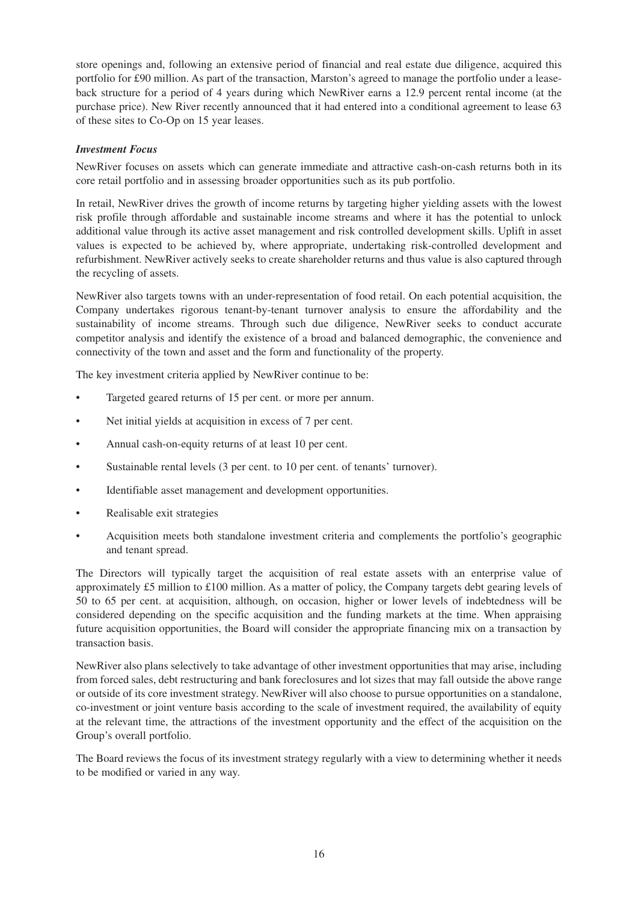store openings and, following an extensive period of financial and real estate due diligence, acquired this portfolio for £90 million. As part of the transaction, Marston's agreed to manage the portfolio under a leaseback structure for a period of 4 years during which NewRiver earns a 12.9 percent rental income (at the purchase price). New River recently announced that it had entered into a conditional agreement to lease 63 of these sites to Co-Op on 15 year leases.

#### *Investment Focus*

NewRiver focuses on assets which can generate immediate and attractive cash-on-cash returns both in its core retail portfolio and in assessing broader opportunities such as its pub portfolio.

In retail, NewRiver drives the growth of income returns by targeting higher yielding assets with the lowest risk profile through affordable and sustainable income streams and where it has the potential to unlock additional value through its active asset management and risk controlled development skills. Uplift in asset values is expected to be achieved by, where appropriate, undertaking risk-controlled development and refurbishment. NewRiver actively seeks to create shareholder returns and thus value is also captured through the recycling of assets.

NewRiver also targets towns with an under-representation of food retail. On each potential acquisition, the Company undertakes rigorous tenant-by-tenant turnover analysis to ensure the affordability and the sustainability of income streams. Through such due diligence, NewRiver seeks to conduct accurate competitor analysis and identify the existence of a broad and balanced demographic, the convenience and connectivity of the town and asset and the form and functionality of the property.

The key investment criteria applied by NewRiver continue to be:

- Targeted geared returns of 15 per cent. or more per annum.
- Net initial yields at acquisition in excess of 7 per cent.
- Annual cash-on-equity returns of at least 10 per cent.
- Sustainable rental levels (3 per cent. to 10 per cent. of tenants' turnover).
- Identifiable asset management and development opportunities.
- Realisable exit strategies
- Acquisition meets both standalone investment criteria and complements the portfolio's geographic and tenant spread.

The Directors will typically target the acquisition of real estate assets with an enterprise value of approximately £5 million to £100 million. As a matter of policy, the Company targets debt gearing levels of 50 to 65 per cent. at acquisition, although, on occasion, higher or lower levels of indebtedness will be considered depending on the specific acquisition and the funding markets at the time. When appraising future acquisition opportunities, the Board will consider the appropriate financing mix on a transaction by transaction basis.

NewRiver also plans selectively to take advantage of other investment opportunities that may arise, including from forced sales, debt restructuring and bank foreclosures and lot sizes that may fall outside the above range or outside of its core investment strategy. NewRiver will also choose to pursue opportunities on a standalone, co-investment or joint venture basis according to the scale of investment required, the availability of equity at the relevant time, the attractions of the investment opportunity and the effect of the acquisition on the Group's overall portfolio.

The Board reviews the focus of its investment strategy regularly with a view to determining whether it needs to be modified or varied in any way.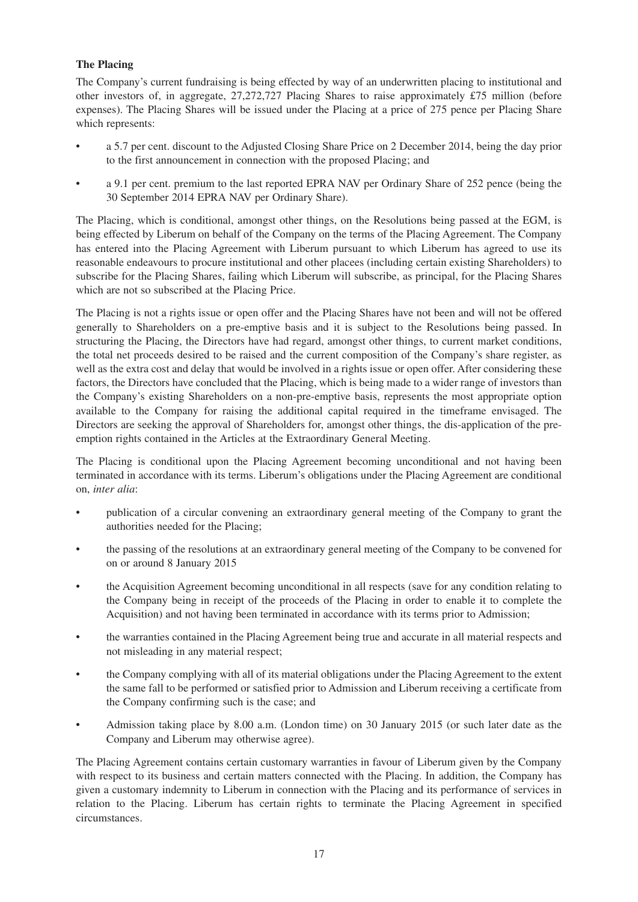#### **The Placing**

The Company's current fundraising is being effected by way of an underwritten placing to institutional and other investors of, in aggregate, 27,272,727 Placing Shares to raise approximately £75 million (before expenses). The Placing Shares will be issued under the Placing at a price of 275 pence per Placing Share which represents:

- a 5.7 per cent. discount to the Adjusted Closing Share Price on 2 December 2014, being the day prior to the first announcement in connection with the proposed Placing; and
- a 9.1 per cent. premium to the last reported EPRA NAV per Ordinary Share of 252 pence (being the 30 September 2014 EPRA NAV per Ordinary Share).

The Placing, which is conditional, amongst other things, on the Resolutions being passed at the EGM, is being effected by Liberum on behalf of the Company on the terms of the Placing Agreement. The Company has entered into the Placing Agreement with Liberum pursuant to which Liberum has agreed to use its reasonable endeavours to procure institutional and other placees (including certain existing Shareholders) to subscribe for the Placing Shares, failing which Liberum will subscribe, as principal, for the Placing Shares which are not so subscribed at the Placing Price.

The Placing is not a rights issue or open offer and the Placing Shares have not been and will not be offered generally to Shareholders on a pre-emptive basis and it is subject to the Resolutions being passed. In structuring the Placing, the Directors have had regard, amongst other things, to current market conditions, the total net proceeds desired to be raised and the current composition of the Company's share register, as well as the extra cost and delay that would be involved in a rights issue or open offer. After considering these factors, the Directors have concluded that the Placing, which is being made to a wider range of investors than the Company's existing Shareholders on a non-pre-emptive basis, represents the most appropriate option available to the Company for raising the additional capital required in the timeframe envisaged. The Directors are seeking the approval of Shareholders for, amongst other things, the dis-application of the preemption rights contained in the Articles at the Extraordinary General Meeting.

The Placing is conditional upon the Placing Agreement becoming unconditional and not having been terminated in accordance with its terms. Liberum's obligations under the Placing Agreement are conditional on, *inter alia*:

- publication of a circular convening an extraordinary general meeting of the Company to grant the authorities needed for the Placing;
- the passing of the resolutions at an extraordinary general meeting of the Company to be convened for on or around 8 January 2015
- the Acquisition Agreement becoming unconditional in all respects (save for any condition relating to the Company being in receipt of the proceeds of the Placing in order to enable it to complete the Acquisition) and not having been terminated in accordance with its terms prior to Admission;
- the warranties contained in the Placing Agreement being true and accurate in all material respects and not misleading in any material respect;
- the Company complying with all of its material obligations under the Placing Agreement to the extent the same fall to be performed or satisfied prior to Admission and Liberum receiving a certificate from the Company confirming such is the case; and
- Admission taking place by 8.00 a.m. (London time) on 30 January 2015 (or such later date as the Company and Liberum may otherwise agree).

The Placing Agreement contains certain customary warranties in favour of Liberum given by the Company with respect to its business and certain matters connected with the Placing. In addition, the Company has given a customary indemnity to Liberum in connection with the Placing and its performance of services in relation to the Placing. Liberum has certain rights to terminate the Placing Agreement in specified circumstances.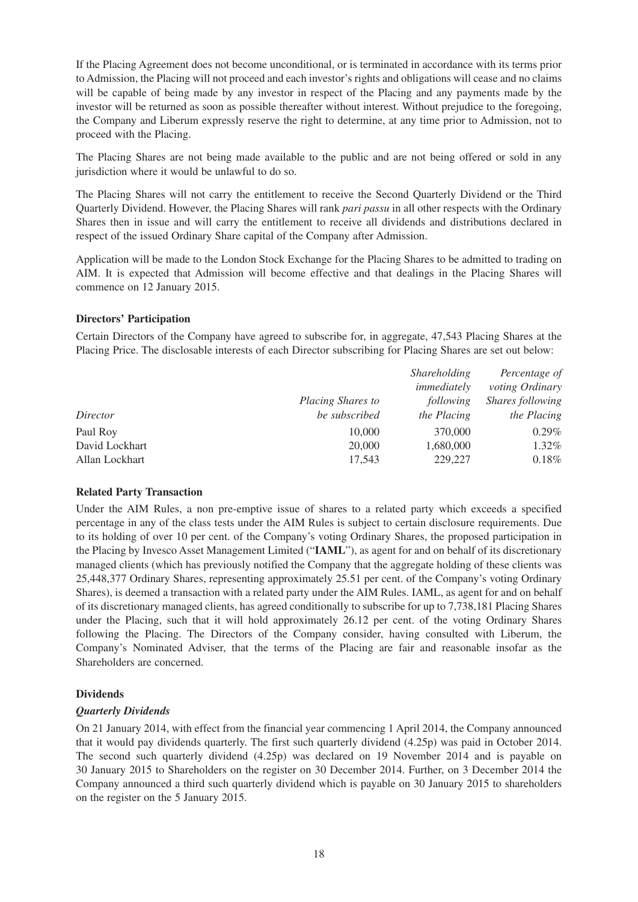If the Placing Agreement does not become unconditional, or is terminated in accordance with its terms prior to Admission, the Placing will not proceed and each investor's rights and obligations will cease and no claims will be capable of being made by any investor in respect of the Placing and any payments made by the investor will be returned as soon as possible thereafter without interest. Without prejudice to the foregoing, the Company and Liberum expressly reserve the right to determine, at any time prior to Admission, not to proceed with the Placing.

The Placing Shares are not being made available to the public and are not being offered or sold in any jurisdiction where it would be unlawful to do so.

The Placing Shares will not carry the entitlement to receive the Second Quarterly Dividend or the Third Quarterly Dividend. However, the Placing Shares will rank *pari passu* in all other respects with the Ordinary Shares then in issue and will carry the entitlement to receive all dividends and distributions declared in respect of the issued Ordinary Share capital of the Company after Admission.

Application will be made to the London Stock Exchange for the Placing Shares to be admitted to trading on AIM. It is expected that Admission will become effective and that dealings in the Placing Shares will commence on 12 January 2015.

#### **Directors' Participation**

Certain Directors of the Company have agreed to subscribe for, in aggregate, 47,543 Placing Shares at the Placing Price. The disclosable interests of each Director subscribing for Placing Shares are set out below:

|                   | <i>Shareholding</i> | Percentage of          |
|-------------------|---------------------|------------------------|
|                   | immediately         | <i>voting Ordinary</i> |
| Placing Shares to | following           | Shares following       |
| be subscribed     | the Placing         | the Placing            |
| 10,000            | 370,000             | $0.29\%$               |
| 20,000            | 1,680,000           | 1.32%                  |
| 17,543            | 229,227             | 0.18%                  |
|                   |                     |                        |

#### **Related Party Transaction**

Under the AIM Rules, a non pre-emptive issue of shares to a related party which exceeds a specified percentage in any of the class tests under the AIM Rules is subject to certain disclosure requirements. Due to its holding of over 10 per cent. of the Company's voting Ordinary Shares, the proposed participation in the Placing by Invesco Asset Management Limited ("**IAML**"), as agent for and on behalf of its discretionary managed clients (which has previously notified the Company that the aggregate holding of these clients was 25,448,377 Ordinary Shares, representing approximately 25.51 per cent. of the Company's voting Ordinary Shares), is deemed a transaction with a related party under the AIM Rules. IAML, as agent for and on behalf of its discretionary managed clients, has agreed conditionally to subscribe for up to 7,738,181 Placing Shares under the Placing, such that it will hold approximately 26.12 per cent. of the voting Ordinary Shares following the Placing. The Directors of the Company consider, having consulted with Liberum, the Company's Nominated Adviser, that the terms of the Placing are fair and reasonable insofar as the Shareholders are concerned.

#### **Dividends**

#### *Quarterly Dividends*

On 21 January 2014, with effect from the financial year commencing 1 April 2014, the Company announced that it would pay dividends quarterly. The first such quarterly dividend (4.25p) was paid in October 2014. The second such quarterly dividend (4.25p) was declared on 19 November 2014 and is payable on 30 January 2015 to Shareholders on the register on 30 December 2014. Further, on 3 December 2014 the Company announced a third such quarterly dividend which is payable on 30 January 2015 to shareholders on the register on the 5 January 2015.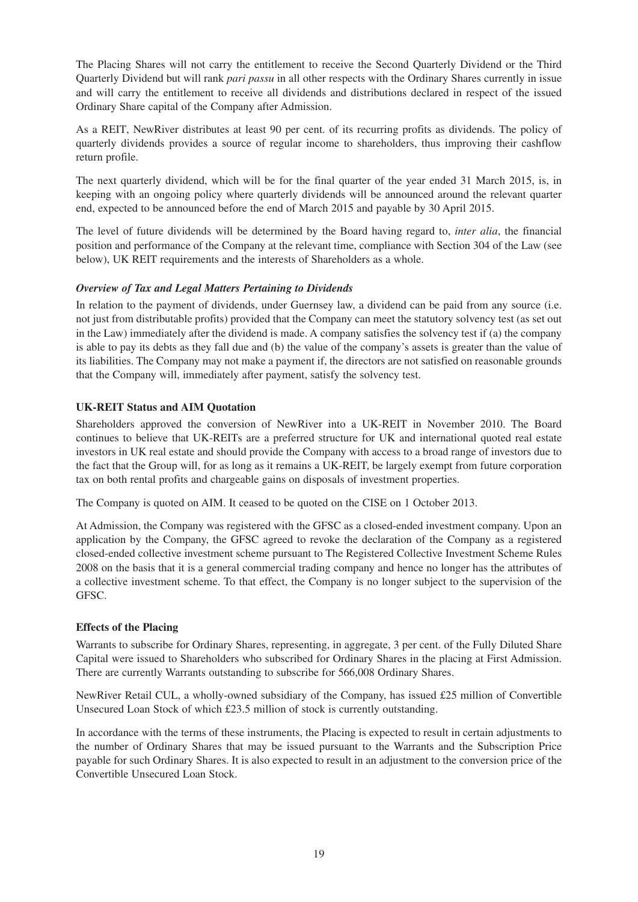The Placing Shares will not carry the entitlement to receive the Second Quarterly Dividend or the Third Quarterly Dividend but will rank *pari passu* in all other respects with the Ordinary Shares currently in issue and will carry the entitlement to receive all dividends and distributions declared in respect of the issued Ordinary Share capital of the Company after Admission.

As a REIT, NewRiver distributes at least 90 per cent. of its recurring profits as dividends. The policy of quarterly dividends provides a source of regular income to shareholders, thus improving their cashflow return profile.

The next quarterly dividend, which will be for the final quarter of the year ended 31 March 2015, is, in keeping with an ongoing policy where quarterly dividends will be announced around the relevant quarter end, expected to be announced before the end of March 2015 and payable by 30 April 2015.

The level of future dividends will be determined by the Board having regard to, *inter alia*, the financial position and performance of the Company at the relevant time, compliance with Section 304 of the Law (see below), UK REIT requirements and the interests of Shareholders as a whole.

#### *Overview of Tax and Legal Matters Pertaining to Dividends*

In relation to the payment of dividends, under Guernsey law, a dividend can be paid from any source (i.e. not just from distributable profits) provided that the Company can meet the statutory solvency test (as set out in the Law) immediately after the dividend is made. A company satisfies the solvency test if (a) the company is able to pay its debts as they fall due and (b) the value of the company's assets is greater than the value of its liabilities. The Company may not make a payment if, the directors are not satisfied on reasonable grounds that the Company will, immediately after payment, satisfy the solvency test.

#### **UK-REIT Status and AIM Quotation**

Shareholders approved the conversion of NewRiver into a UK-REIT in November 2010. The Board continues to believe that UK-REITs are a preferred structure for UK and international quoted real estate investors in UK real estate and should provide the Company with access to a broad range of investors due to the fact that the Group will, for as long as it remains a UK-REIT, be largely exempt from future corporation tax on both rental profits and chargeable gains on disposals of investment properties.

The Company is quoted on AIM. It ceased to be quoted on the CISE on 1 October 2013.

At Admission, the Company was registered with the GFSC as a closed-ended investment company. Upon an application by the Company, the GFSC agreed to revoke the declaration of the Company as a registered closed-ended collective investment scheme pursuant to The Registered Collective Investment Scheme Rules 2008 on the basis that it is a general commercial trading company and hence no longer has the attributes of a collective investment scheme. To that effect, the Company is no longer subject to the supervision of the GFSC.

#### **Effects of the Placing**

Warrants to subscribe for Ordinary Shares, representing, in aggregate, 3 per cent. of the Fully Diluted Share Capital were issued to Shareholders who subscribed for Ordinary Shares in the placing at First Admission. There are currently Warrants outstanding to subscribe for 566,008 Ordinary Shares.

NewRiver Retail CUL, a wholly-owned subsidiary of the Company, has issued £25 million of Convertible Unsecured Loan Stock of which £23.5 million of stock is currently outstanding.

In accordance with the terms of these instruments, the Placing is expected to result in certain adjustments to the number of Ordinary Shares that may be issued pursuant to the Warrants and the Subscription Price payable for such Ordinary Shares. It is also expected to result in an adjustment to the conversion price of the Convertible Unsecured Loan Stock.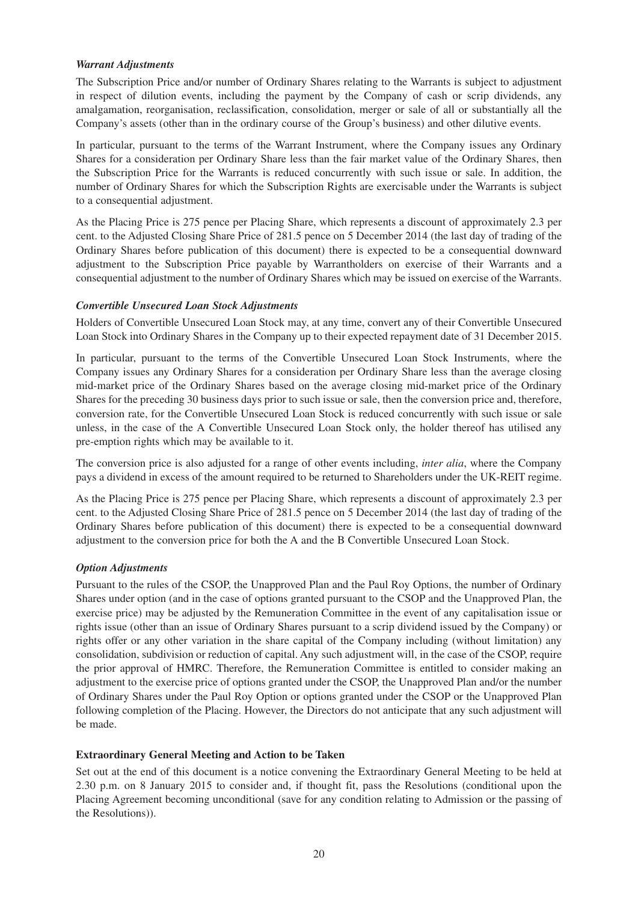#### *Warrant Adjustments*

The Subscription Price and/or number of Ordinary Shares relating to the Warrants is subject to adjustment in respect of dilution events, including the payment by the Company of cash or scrip dividends, any amalgamation, reorganisation, reclassification, consolidation, merger or sale of all or substantially all the Company's assets (other than in the ordinary course of the Group's business) and other dilutive events.

In particular, pursuant to the terms of the Warrant Instrument, where the Company issues any Ordinary Shares for a consideration per Ordinary Share less than the fair market value of the Ordinary Shares, then the Subscription Price for the Warrants is reduced concurrently with such issue or sale. In addition, the number of Ordinary Shares for which the Subscription Rights are exercisable under the Warrants is subject to a consequential adjustment.

As the Placing Price is 275 pence per Placing Share, which represents a discount of approximately 2.3 per cent. to the Adjusted Closing Share Price of 281.5 pence on 5 December 2014 (the last day of trading of the Ordinary Shares before publication of this document) there is expected to be a consequential downward adjustment to the Subscription Price payable by Warrantholders on exercise of their Warrants and a consequential adjustment to the number of Ordinary Shares which may be issued on exercise of the Warrants.

#### *Convertible Unsecured Loan Stock Adjustments*

Holders of Convertible Unsecured Loan Stock may, at any time, convert any of their Convertible Unsecured Loan Stock into Ordinary Shares in the Company up to their expected repayment date of 31 December 2015.

In particular, pursuant to the terms of the Convertible Unsecured Loan Stock Instruments, where the Company issues any Ordinary Shares for a consideration per Ordinary Share less than the average closing mid-market price of the Ordinary Shares based on the average closing mid-market price of the Ordinary Shares for the preceding 30 business days prior to such issue or sale, then the conversion price and, therefore, conversion rate, for the Convertible Unsecured Loan Stock is reduced concurrently with such issue or sale unless, in the case of the A Convertible Unsecured Loan Stock only, the holder thereof has utilised any pre-emption rights which may be available to it.

The conversion price is also adjusted for a range of other events including, *inter alia*, where the Company pays a dividend in excess of the amount required to be returned to Shareholders under the UK-REIT regime.

As the Placing Price is 275 pence per Placing Share, which represents a discount of approximately 2.3 per cent. to the Adjusted Closing Share Price of 281.5 pence on 5 December 2014 (the last day of trading of the Ordinary Shares before publication of this document) there is expected to be a consequential downward adjustment to the conversion price for both the A and the B Convertible Unsecured Loan Stock.

#### *Option Adjustments*

Pursuant to the rules of the CSOP, the Unapproved Plan and the Paul Roy Options, the number of Ordinary Shares under option (and in the case of options granted pursuant to the CSOP and the Unapproved Plan, the exercise price) may be adjusted by the Remuneration Committee in the event of any capitalisation issue or rights issue (other than an issue of Ordinary Shares pursuant to a scrip dividend issued by the Company) or rights offer or any other variation in the share capital of the Company including (without limitation) any consolidation, subdivision or reduction of capital. Any such adjustment will, in the case of the CSOP, require the prior approval of HMRC. Therefore, the Remuneration Committee is entitled to consider making an adjustment to the exercise price of options granted under the CSOP, the Unapproved Plan and/or the number of Ordinary Shares under the Paul Roy Option or options granted under the CSOP or the Unapproved Plan following completion of the Placing. However, the Directors do not anticipate that any such adjustment will be made.

#### **Extraordinary General Meeting and Action to be Taken**

Set out at the end of this document is a notice convening the Extraordinary General Meeting to be held at 2.30 p.m. on 8 January 2015 to consider and, if thought fit, pass the Resolutions (conditional upon the Placing Agreement becoming unconditional (save for any condition relating to Admission or the passing of the Resolutions)).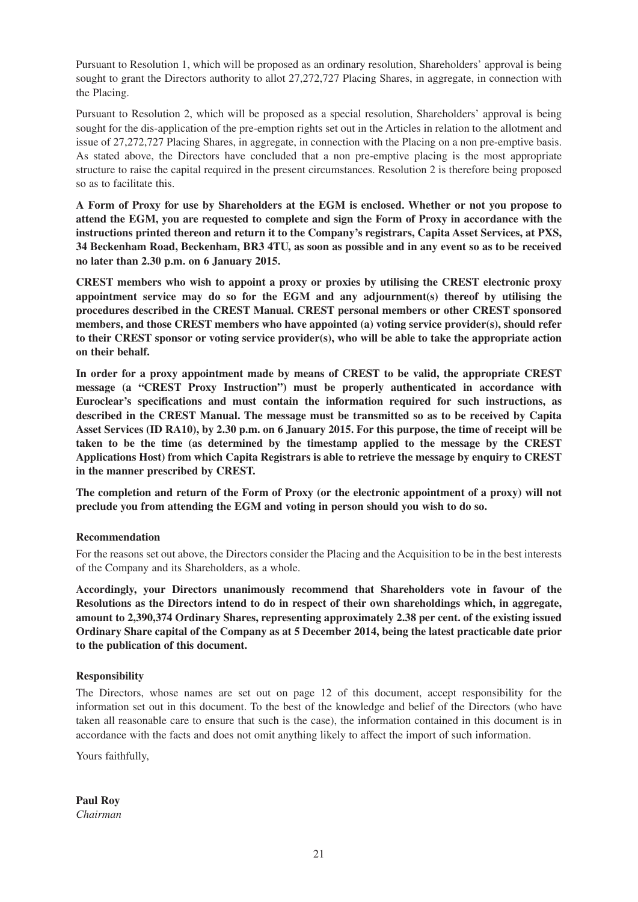Pursuant to Resolution 1, which will be proposed as an ordinary resolution, Shareholders' approval is being sought to grant the Directors authority to allot 27,272,727 Placing Shares, in aggregate, in connection with the Placing.

Pursuant to Resolution 2, which will be proposed as a special resolution, Shareholders' approval is being sought for the dis-application of the pre-emption rights set out in the Articles in relation to the allotment and issue of 27,272,727 Placing Shares, in aggregate, in connection with the Placing on a non pre-emptive basis. As stated above, the Directors have concluded that a non pre-emptive placing is the most appropriate structure to raise the capital required in the present circumstances. Resolution 2 is therefore being proposed so as to facilitate this.

A Form of Proxy for use by Shareholders at the EGM is enclosed. Whether or not you propose to **attend the EGM, you are requested to complete and sign the Form of Proxy in accordance with the instructions printed thereon and return it to the Company's registrars, Capita Asset Services, at PXS,** 34 Beckenham Road, Beckenham, BR3 4TU, as soon as possible and in any event so as to be received **no later than 2.30 p.m. on 6 January 2015.**

**CREST members who wish to appoint a proxy or proxies by utilising the CREST electronic proxy appointment service may do so for the EGM and any adjournment(s) thereof by utilising the procedures described in the CREST Manual. CREST personal members or other CREST sponsored members, and those CREST members who have appointed (a) voting service provider(s), should refer to their CREST sponsor or voting service provider(s), who will be able to take the appropriate action on their behalf.**

**In order for a proxy appointment made by means of CREST to be valid, the appropriate CREST message (a "CREST Proxy Instruction") must be properly authenticated in accordance with Euroclear's specifications and must contain the information required for such instructions, as described in the CREST Manual. The message must be transmitted so as to be received by Capita** Asset Services (ID RA10), by 2.30 p.m. on 6 January 2015. For this purpose, the time of receipt will be **taken to be the time (as determined by the timestamp applied to the message by the CREST Applications Host) from which Capita Registrars is able to retrieve the message by enquiry to CREST in the manner prescribed by CREST.**

**The completion and return of the Form of Proxy (or the electronic appointment of a proxy) will not preclude you from attending the EGM and voting in person should you wish to do so.**

#### **Recommendation**

For the reasons set out above, the Directors consider the Placing and the Acquisition to be in the best interests of the Company and its Shareholders, as a whole.

**Accordingly, your Directors unanimously recommend that Shareholders vote in favour of the Resolutions as the Directors intend to do in respect of their own shareholdings which, in aggregate, amount to 2,390,374 Ordinary Shares, representing approximately 2.38 per cent. of the existing issued Ordinary Share capital of the Company as at 5 December 2014, being the latest practicable date prior to the publication of this document.**

#### **Responsibility**

The Directors, whose names are set out on page 12 of this document, accept responsibility for the information set out in this document. To the best of the knowledge and belief of the Directors (who have taken all reasonable care to ensure that such is the case), the information contained in this document is in accordance with the facts and does not omit anything likely to affect the import of such information.

Yours faithfully,

**Paul Roy** *Chairman*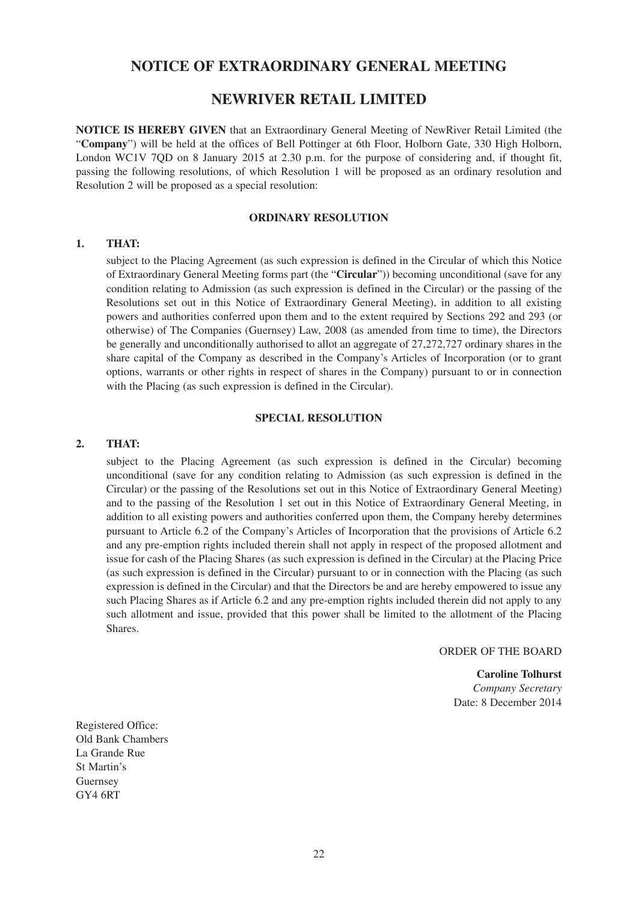### **NOTICE OF EXTRAORDINARY GENERAL MEETING**

### **NEWRIVER RETAIL LIMITED**

**NOTICE IS HEREBY GIVEN** that an Extraordinary General Meeting of NewRiver Retail Limited (the "**Company**") will be held at the offices of Bell Pottinger at 6th Floor, Holborn Gate, 330 High Holborn, London WC1V 7QD on 8 January 2015 at 2.30 p.m. for the purpose of considering and, if thought fit, passing the following resolutions, of which Resolution 1 will be proposed as an ordinary resolution and Resolution 2 will be proposed as a special resolution:

#### **ORDINARY RESOLUTION**

#### **1. THAT:**

subject to the Placing Agreement (as such expression is defined in the Circular of which this Notice of Extraordinary General Meeting forms part (the "**Circular**")) becoming unconditional (save for any condition relating to Admission (as such expression is defined in the Circular) or the passing of the Resolutions set out in this Notice of Extraordinary General Meeting), in addition to all existing powers and authorities conferred upon them and to the extent required by Sections 292 and 293 (or otherwise) of The Companies (Guernsey) Law, 2008 (as amended from time to time), the Directors be generally and unconditionally authorised to allot an aggregate of 27,272,727 ordinary shares in the share capital of the Company as described in the Company's Articles of Incorporation (or to grant options, warrants or other rights in respect of shares in the Company) pursuant to or in connection with the Placing (as such expression is defined in the Circular).

#### **SPECIAL RESOLUTION**

#### **2. THAT:**

subject to the Placing Agreement (as such expression is defined in the Circular) becoming unconditional (save for any condition relating to Admission (as such expression is defined in the Circular) or the passing of the Resolutions set out in this Notice of Extraordinary General Meeting) and to the passing of the Resolution 1 set out in this Notice of Extraordinary General Meeting, in addition to all existing powers and authorities conferred upon them, the Company hereby determines pursuant to Article 6.2 of the Company's Articles of Incorporation that the provisions of Article 6.2 and any pre-emption rights included therein shall not apply in respect of the proposed allotment and issue for cash of the Placing Shares (as such expression is defined in the Circular) at the Placing Price (as such expression is defined in the Circular) pursuant to or in connection with the Placing (as such expression is defined in the Circular) and that the Directors be and are hereby empowered to issue any such Placing Shares as if Article 6.2 and any pre-emption rights included therein did not apply to any such allotment and issue, provided that this power shall be limited to the allotment of the Placing Shares.

#### ORDER OF THE BOARD

**Caroline Tolhurst** *Company Secretary* Date: 8 December 2014

Registered Office: Old Bank Chambers La Grande Rue St Martin's Guernsey GY4 6RT